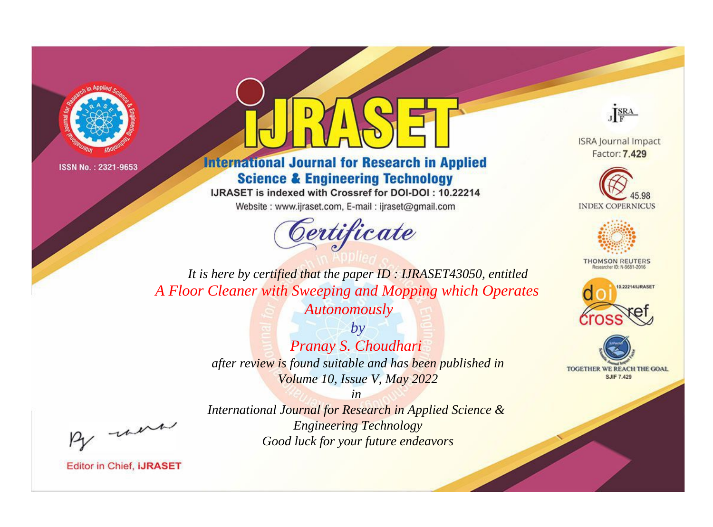



**International Journal for Research in Applied Science & Engineering Technology** 

IJRASET is indexed with Crossref for DOI-DOI: 10.22214

Website: www.ijraset.com, E-mail: ijraset@gmail.com



JERA

**ISRA Journal Impact** Factor: 7.429





**THOMSON REUTERS** 



TOGETHER WE REACH THE GOAL **SJIF 7.429** 

*It is here by certified that the paper ID : IJRASET43050, entitled A Floor Cleaner with Sweeping and Mopping which Operates* 

*Autonomously*

*by Pranay S. Choudhari after review is found suitable and has been published in Volume 10, Issue V, May 2022*

*in* 

*International Journal for Research in Applied Science & Engineering Technology Good luck for your future endeavors*

, un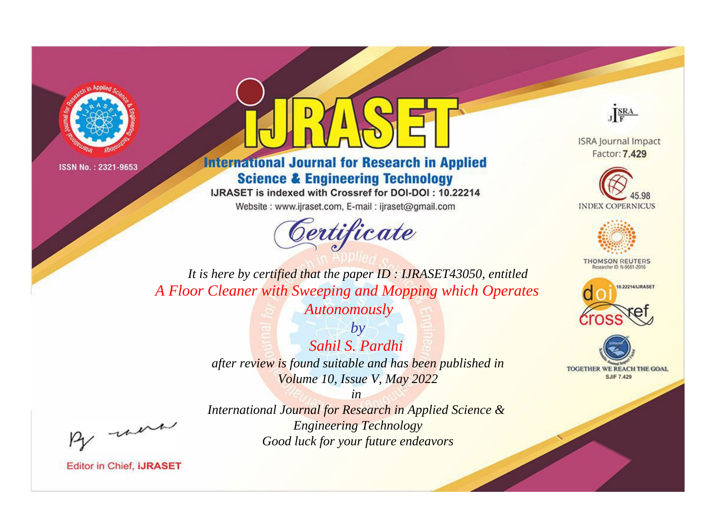



**International Journal for Research in Applied Science & Engineering Technology** 

IJRASET is indexed with Crossref for DOI-DOI: 10.22214

Website: www.ijraset.com, E-mail: ijraset@gmail.com



JERA

**ISRA Journal Impact** Factor: 7.429





**THOMSON REUTERS** 



TOGETHER WE REACH THE GOAL **SJIF 7.429** 

*It is here by certified that the paper ID : IJRASET43050, entitled A Floor Cleaner with Sweeping and Mopping which Operates* 

*Autonomously*

*by Sahil S. Pardhi after review is found suitable and has been published in Volume 10, Issue V, May 2022*

, un

*International Journal for Research in Applied Science & Engineering Technology Good luck for your future endeavors*

*in*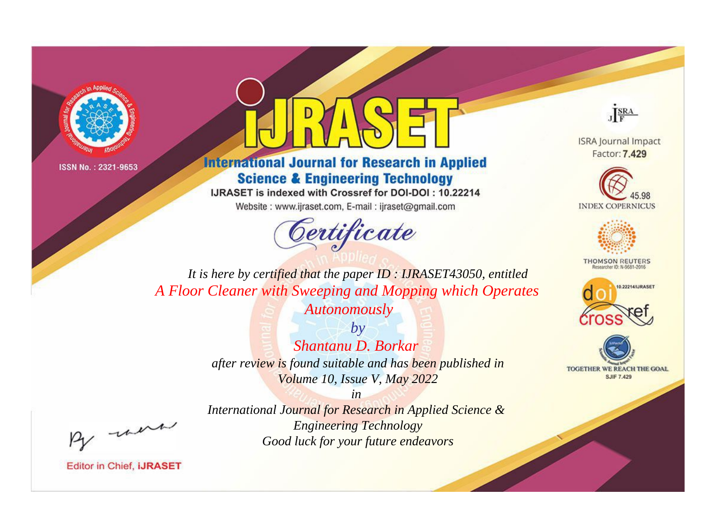



**International Journal for Research in Applied Science & Engineering Technology** 

IJRASET is indexed with Crossref for DOI-DOI: 10.22214

Website: www.ijraset.com, E-mail: ijraset@gmail.com



JERA

**ISRA Journal Impact** Factor: 7.429





**THOMSON REUTERS** 



TOGETHER WE REACH THE GOAL **SJIF 7.429** 

*It is here by certified that the paper ID : IJRASET43050, entitled A Floor Cleaner with Sweeping and Mopping which Operates* 

*Autonomously*

*by Shantanu D. Borkar after review is found suitable and has been published in Volume 10, Issue V, May 2022*

, un

*International Journal for Research in Applied Science & Engineering Technology Good luck for your future endeavors*

*in*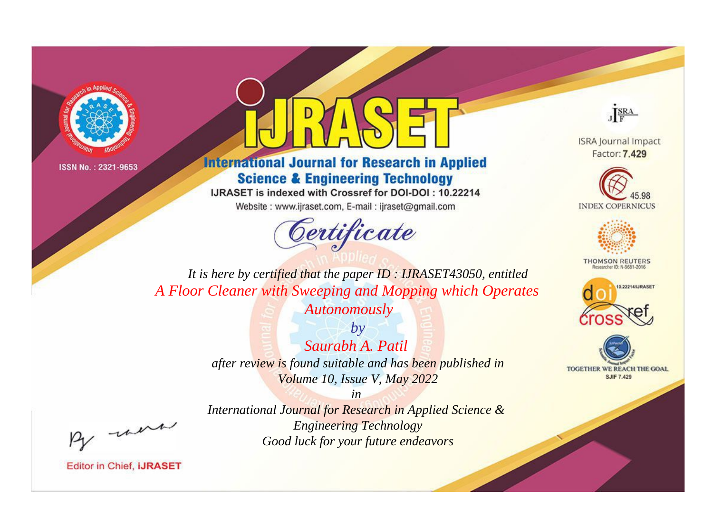



**International Journal for Research in Applied Science & Engineering Technology** 

IJRASET is indexed with Crossref for DOI-DOI: 10.22214

Website: www.ijraset.com, E-mail: ijraset@gmail.com



JERA

**ISRA Journal Impact** Factor: 7.429





**THOMSON REUTERS** 



TOGETHER WE REACH THE GOAL **SJIF 7.429** 

*It is here by certified that the paper ID : IJRASET43050, entitled A Floor Cleaner with Sweeping and Mopping which Operates* 

*Autonomously*

*by Saurabh A. Patil after review is found suitable and has been published in Volume 10, Issue V, May 2022*

*in* 

*International Journal for Research in Applied Science & Engineering Technology Good luck for your future endeavors*

, un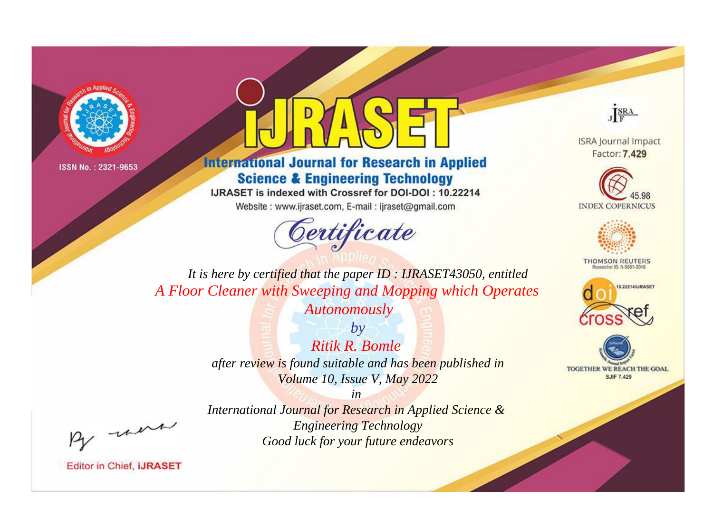



## **International Journal for Research in Applied Science & Engineering Technology**

IJRASET is indexed with Crossref for DOI-DOI: 10.22214

Website: www.ijraset.com, E-mail: ijraset@gmail.com



JERA

**ISRA Journal Impact** Factor: 7.429





**THOMSON REUTERS** 



TOGETHER WE REACH THE GOAL **SJIF 7.429** 

*It is here by certified that the paper ID : IJRASET43050, entitled A Floor Cleaner with Sweeping and Mopping which Operates* 

*Autonomously*

*by Ritik R. Bomle after review is found suitable and has been published in Volume 10, Issue V, May 2022*

*in International Journal for Research in Applied Science & Engineering Technology Good luck for your future endeavors*

, un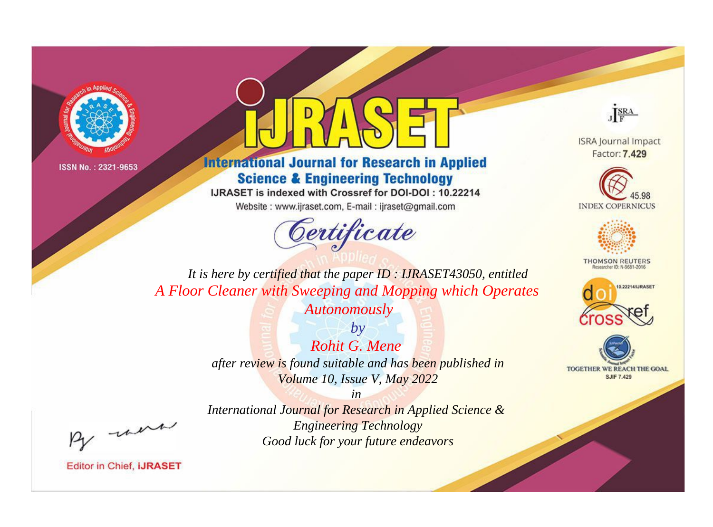



## **International Journal for Research in Applied Science & Engineering Technology**

IJRASET is indexed with Crossref for DOI-DOI: 10.22214

Website: www.ijraset.com, E-mail: ijraset@gmail.com



JERA

**ISRA Journal Impact** Factor: 7.429





**THOMSON REUTERS** 



TOGETHER WE REACH THE GOAL **SJIF 7.429** 

*It is here by certified that the paper ID : IJRASET43050, entitled A Floor Cleaner with Sweeping and Mopping which Operates* 

*Autonomously*

*by Rohit G. Mene after review is found suitable and has been published in Volume 10, Issue V, May 2022*

*in* 

, un

*International Journal for Research in Applied Science & Engineering Technology Good luck for your future endeavors*